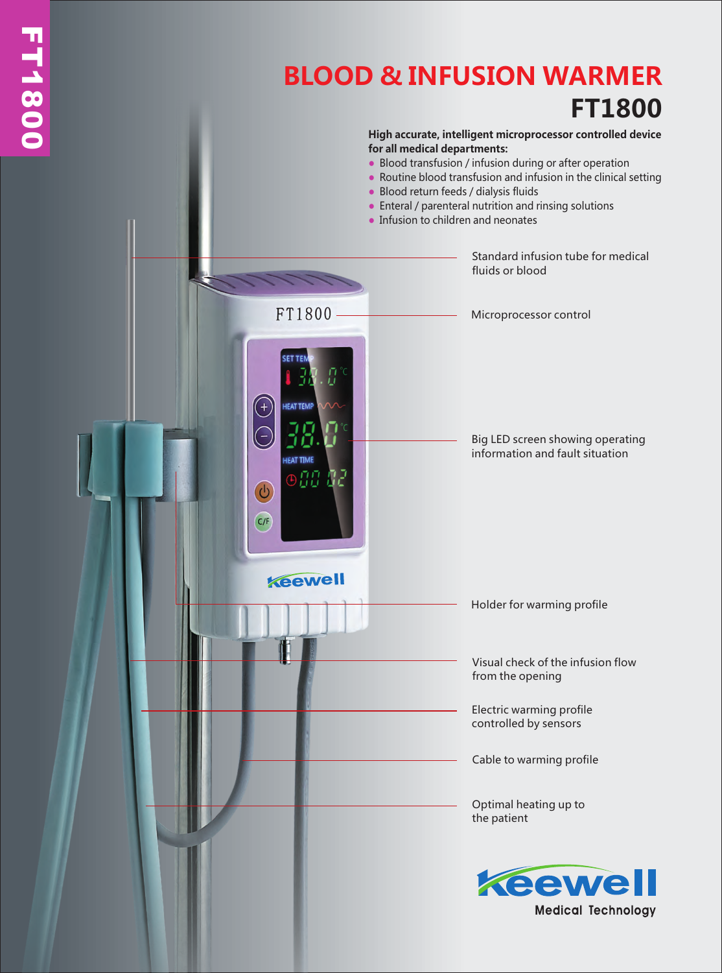